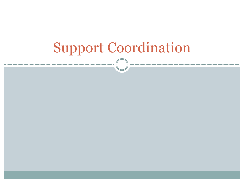## Support Coordination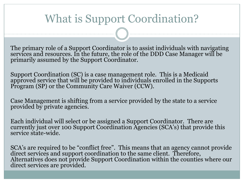#### What is Support Coordination?

The primary role of a Support Coordinator is to assist individuals with navigating services and resources. In the future, the role of the DDD Case Manager will be primarily assumed by the Support Coordinator.

Support Coordination (SC) is a case management role. This is a Medicaid approved service that will be provided to individuals enrolled in the Supports Program (SP) or the Community Care Waiver (CCW).

Case Management is shifting from a service provided by the state to a service provided by private agencies.

Each individual will select or be assigned a Support Coordinator. There are currently just over 100 Support Coordination Agencies (SCA's) that provide this service state-wide.

SCA's are required to be "conflict free". This means that an agency cannot provide direct services and support coordination to the same client. Therefore, Alternatives does not provide Support Coordination within the counties where our direct services are provided.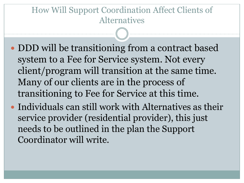#### How Will Support Coordination Affect Clients of Alternatives

- DDD will be transitioning from a contract based system to a Fee for Service system. Not every client/program will transition at the same time. Many of our clients are in the process of transitioning to Fee for Service at this time.
- Individuals can still work with Alternatives as their service provider (residential provider), this just needs to be outlined in the plan the Support Coordinator will write.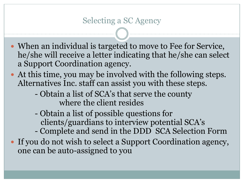- When an individual is targeted to move to Fee for Service, he/she will receive a letter indicating that he/she can select a Support Coordination agency.
- At this time, you may be involved with the following steps. Alternatives Inc. staff can assist you with these steps.
	- Obtain a list of SCA's that serve the county where the client resides
	- Obtain a list of possible questions for clients/guardians to interview potential SCA's
	- Complete and send in the DDD SCA Selection Form
- If you do not wish to select a Support Coordination agency, one can be auto-assigned to you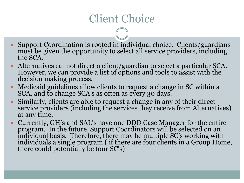### Client Choice

- Support Coordination is rooted in individual choice. Clients/guardians must be given the opportunity to select all service providers, including the SCA.
- Alternatives cannot direct a client/guardian to select a particular SCA. However, we can provide a list of options and tools to assist with the decision making process.
- Medicaid guidelines allow clients to request a change in SC within a SCA, and to change SCA's as often as every 30 days.
- Similarly, clients are able to request a change in any of their direct service providers (including the services they receive from Alternatives) at any time.
- Currently, GH's and SAL's have one DDD Case Manager for the entire program. In the future, Support Coordinators will be selected on an individual basis. Therefore, there may be multiple SC's working with individuals a single program ( if there are four clients in a Group Home, there could potentially be four SC's)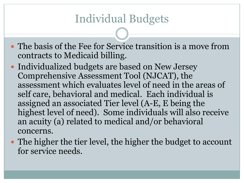#### Individual Budgets

 The basis of the Fee for Service transition is a move from contracts to Medicaid billing.

- Individualized budgets are based on New Jersey Comprehensive Assessment Tool (NJCAT), the assessment which evaluates level of need in the areas of self care, behavioral and medical. Each individual is assigned an associated Tier level (A-E, E being the highest level of need). Some individuals will also receive an acuity (a) related to medical and/or behavioral concerns.
- The higher the tier level, the higher the budget to account for service needs.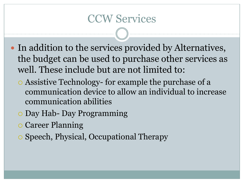#### CCW Services

- In addition to the services provided by Alternatives, the budget can be used to purchase other services as well. These include but are not limited to:
	- Assistive Technology- for example the purchase of a communication device to allow an individual to increase communication abilities
	- Day Hab- Day Programming
	- Career Planning
	- Speech, Physical, Occupational Therapy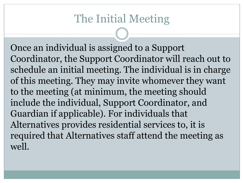#### The Initial Meeting

Once an individual is assigned to a Support Coordinator, the Support Coordinator will reach out to schedule an initial meeting. The individual is in charge of this meeting. They may invite whomever they want to the meeting (at minimum, the meeting should include the individual, Support Coordinator, and Guardian if applicable). For individuals that Alternatives provides residential services to, it is required that Alternatives staff attend the meeting as well.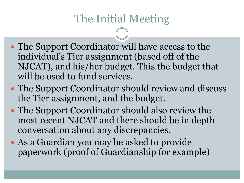### The Initial Meeting

- The Support Coordinator will have access to the individual's Tier assignment (based off of the NJCAT), and his/her budget. This the budget that will be used to fund services.
- The Support Coordinator should review and discuss the Tier assignment, and the budget.
- The Support Coordinator should also review the most recent NJCAT and there should be in depth conversation about any discrepancies.
- As a Guardian you may be asked to provide paperwork (proof of Guardianship for example)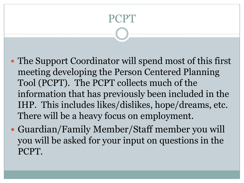# PCPT

- The Support Coordinator will spend most of this first meeting developing the Person Centered Planning Tool (PCPT). The PCPT collects much of the information that has previously been included in the IHP. This includes likes/dislikes, hope/dreams, etc. There will be a heavy focus on employment.
- Guardian/Family Member/Staff member you will you will be asked for your input on questions in the PCPT.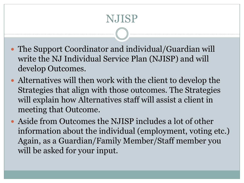### NJISP

- The Support Coordinator and individual/Guardian will write the NJ Individual Service Plan (NJISP) and will develop Outcomes.
- Alternatives will then work with the client to develop the Strategies that align with those outcomes. The Strategies will explain how Alternatives staff will assist a client in meeting that Outcome.
- Aside from Outcomes the NJISP includes a lot of other information about the individual (employment, voting etc.) Again, as a Guardian/Family Member/Staff member you will be asked for your input.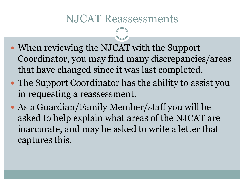#### NJCAT Reassessments

- When reviewing the NJCAT with the Support Coordinator, you may find many discrepancies/areas that have changed since it was last completed.
- The Support Coordinator has the ability to assist you in requesting a reassessment.
- As a Guardian/Family Member/staff you will be asked to help explain what areas of the NJCAT are inaccurate, and may be asked to write a letter that captures this.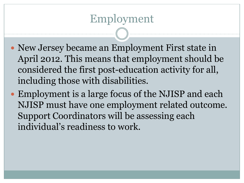#### Employment

- New Jersey became an Employment First state in April 2012. This means that employment should be considered the first post-education activity for all, including those with disabilities.
- Employment is a large focus of the NJISP and each NJISP must have one employment related outcome. Support Coordinators will be assessing each individual's readiness to work.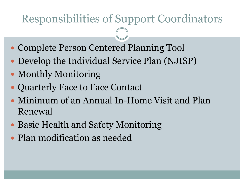#### Responsibilities of Support Coordinators

- Complete Person Centered Planning Tool
- Develop the Individual Service Plan (NJISP)
- Monthly Monitoring
- Quarterly Face to Face Contact
- Minimum of an Annual In-Home Visit and Plan Renewal
- Basic Health and Safety Monitoring
- Plan modification as needed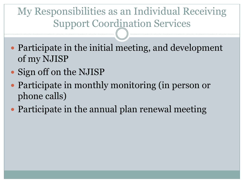My Responsibilities as an Individual Receiving Support Coordination Services

- Participate in the initial meeting, and development of my NJISP
- Sign off on the NJISP
- Participate in monthly monitoring (in person or phone calls)
- Participate in the annual plan renewal meeting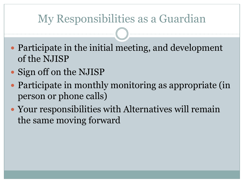#### My Responsibilities as a Guardian

- Participate in the initial meeting, and development of the NJISP
- Sign off on the NJISP
- Participate in monthly monitoring as appropriate (in person or phone calls)
- Your responsibilities with Alternatives will remain the same moving forward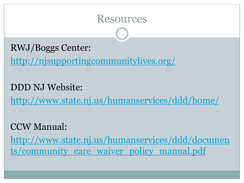

RWJ/Boggs Center:

<http://njsupportingcommunitylives.org/>

DDD NJ Website: <http://www.state.nj.us/humanservices/ddd/home/>

CCW Manual:

[http://www.state.nj.us/humanservices/ddd/documen](http://www.state.nj.us/humanservices/ddd/documents/community_care_waiver_policy_manual.pdf) [ts/community\\_care\\_waiver\\_policy\\_manual.pdf](http://www.state.nj.us/humanservices/ddd/documents/community_care_waiver_policy_manual.pdf)